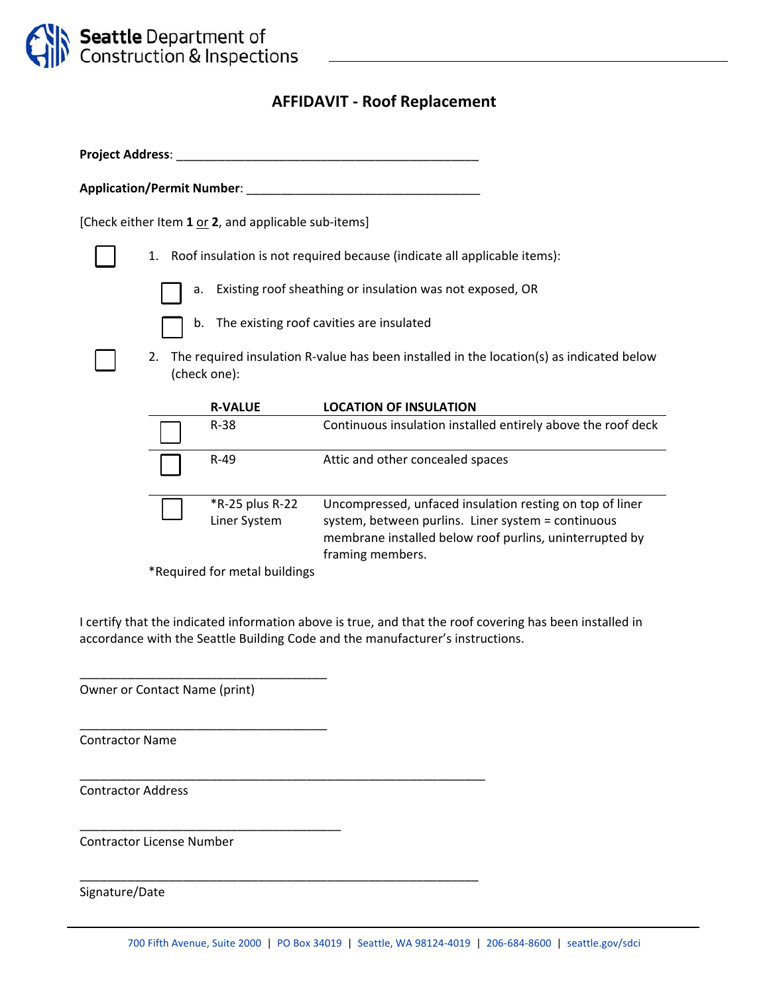

# **AFFIDAVIT ‐ Roof Replacement**

**Project Address**: \_\_\_\_\_\_\_\_\_\_\_\_\_\_\_\_\_\_\_\_\_\_\_\_\_\_\_\_\_\_\_\_\_\_\_\_\_\_\_\_\_\_\_\_

**Application/Permit Number**: \_\_\_\_\_\_\_\_\_\_\_\_\_\_\_\_\_\_\_\_\_\_\_\_\_\_\_\_\_\_\_\_\_\_

[Check either Item **1** or **2**, and applicable sub‐items]

- 1. Roof insulation is not required because (indicate all applicable items):
	- a. Existing roof sheathing or insulation was not exposed, OR
	- b. The existing roof cavities are insulated
- 2. The required insulation R-value has been installed in the location(s) as indicated below (check one):

| <b>R-VALUE</b>                  | <b>LOCATION OF INSULATION</b>                                                                                                                                                                 |
|---------------------------------|-----------------------------------------------------------------------------------------------------------------------------------------------------------------------------------------------|
| $R-38$                          | Continuous insulation installed entirely above the roof deck                                                                                                                                  |
| $R-49$                          | Attic and other concealed spaces                                                                                                                                                              |
| *R-25 plus R-22<br>Liner System | Uncompressed, unfaced insulation resting on top of liner<br>system, between purlins. Liner system = continuous<br>membrane installed below roof purlins, uninterrupted by<br>framing members. |

\*Required for metal buildings

I certify that the indicated information above is true, and that the roof covering has been installed in accordance with the Seattle Building Code and the manufacturer's instructions.

Owner or Contact Name (print)

\_\_\_\_\_\_\_\_\_\_\_\_\_\_\_\_\_\_\_\_\_\_\_\_\_\_\_\_\_\_\_\_\_\_\_\_

\_\_\_\_\_\_\_\_\_\_\_\_\_\_\_\_\_\_\_\_\_\_\_\_\_\_\_\_\_\_\_\_\_\_\_\_

\_\_\_\_\_\_\_\_\_\_\_\_\_\_\_\_\_\_\_\_\_\_\_\_\_\_\_\_\_\_\_\_\_\_\_\_\_\_

\_\_\_\_\_\_\_\_\_\_\_\_\_\_\_\_\_\_\_\_\_\_\_\_\_\_\_\_\_\_\_\_\_\_\_\_\_\_\_\_\_\_\_\_\_\_\_\_\_\_\_\_\_\_\_\_\_\_\_

\_\_\_\_\_\_\_\_\_\_\_\_\_\_\_\_\_\_\_\_\_\_\_\_\_\_\_\_\_\_\_\_\_\_\_\_\_\_\_\_\_\_\_\_\_\_\_\_\_\_\_\_\_\_\_\_\_\_

Contractor Name

Contractor Address

Contractor License Number

Signature/Date